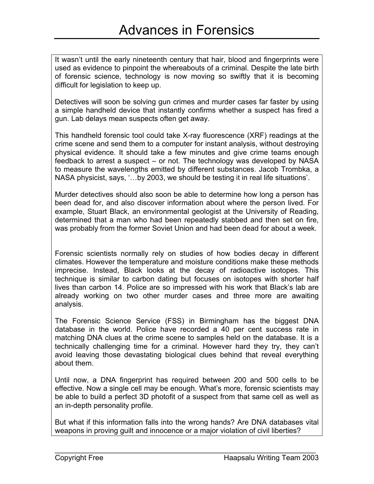It wasn't until the early nineteenth century that hair, blood and fingerprints were used as evidence to pinpoint the whereabouts of a criminal. Despite the late birth of forensic science, technology is now moving so swiftly that it is becoming difficult for legislation to keep up.

Detectives will soon be solving gun crimes and murder cases far faster by using a simple handheld device that instantly confirms whether a suspect has fired a gun. Lab delays mean suspects often get away.

This handheld forensic tool could take X-ray fluorescence (XRF) readings at the crime scene and send them to a computer for instant analysis, without destroying physical evidence. It should take a few minutes and give crime teams enough feedback to arrest a suspect – or not. The technology was developed by NASA to measure the wavelengths emitted by different substances. Jacob Trombka, a NASA physicist, says, '…by 2003, we should be testing it in real life situations'.

Murder detectives should also soon be able to determine how long a person has been dead for, and also discover information about where the person lived. For example, Stuart Black, an environmental geologist at the University of Reading, determined that a man who had been repeatedly stabbed and then set on fire, was probably from the former Soviet Union and had been dead for about a week.

Forensic scientists normally rely on studies of how bodies decay in different climates. However the temperature and moisture conditions make these methods imprecise. Instead, Black looks at the decay of radioactive isotopes. This technique is similar to carbon dating but focuses on isotopes with shorter half lives than carbon 14. Police are so impressed with his work that Black's lab are already working on two other murder cases and three more are awaiting analysis.

The Forensic Science Service (FSS) in Birmingham has the biggest DNA database in the world. Police have recorded a 40 per cent success rate in matching DNA clues at the crime scene to samples held on the database. It is a technically challenging time for a criminal. However hard they try, they can't avoid leaving those devastating biological clues behind that reveal everything about them.

Until now, a DNA fingerprint has required between 200 and 500 cells to be effective. Now a single cell may be enough. What's more, forensic scientists may be able to build a perfect 3D photofit of a suspect from that same cell as well as an in-depth personality profile.

But what if this information falls into the wrong hands? Are DNA databases vital weapons in proving guilt and innocence or a major violation of civil liberties?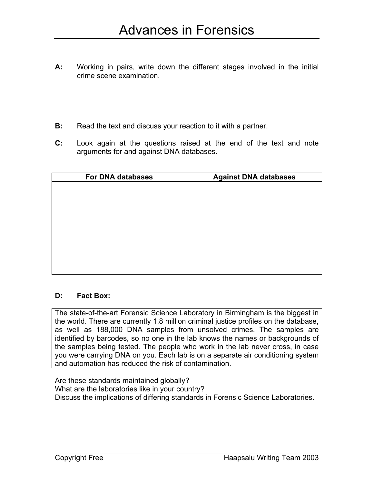- **A:** Working in pairs, write down the different stages involved in the initial crime scene examination.
- **B:** Read the text and discuss your reaction to it with a partner.
- **C:** Look again at the questions raised at the end of the text and note arguments for and against DNA databases.

| <b>For DNA databases</b> | <b>Against DNA databases</b> |  |  |
|--------------------------|------------------------------|--|--|
|                          |                              |  |  |
|                          |                              |  |  |
|                          |                              |  |  |
|                          |                              |  |  |
|                          |                              |  |  |
|                          |                              |  |  |
|                          |                              |  |  |
|                          |                              |  |  |
|                          |                              |  |  |
|                          |                              |  |  |

## **D: Fact Box:**

The state-of-the-art Forensic Science Laboratory in Birmingham is the biggest in the world. There are currently 1.8 million criminal justice profiles on the database, as well as 188,000 DNA samples from unsolved crimes. The samples are identified by barcodes, so no one in the lab knows the names or backgrounds of the samples being tested. The people who work in the lab never cross, in case you were carrying DNA on you. Each lab is on a separate air conditioning system and automation has reduced the risk of contamination.

Are these standards maintained globally? What are the laboratories like in your country? Discuss the implications of differing standards in Forensic Science Laboratories.

 $\mathcal{L}_\text{max}$  , and the contract of the contract of the contract of the contract of the contract of the contract of